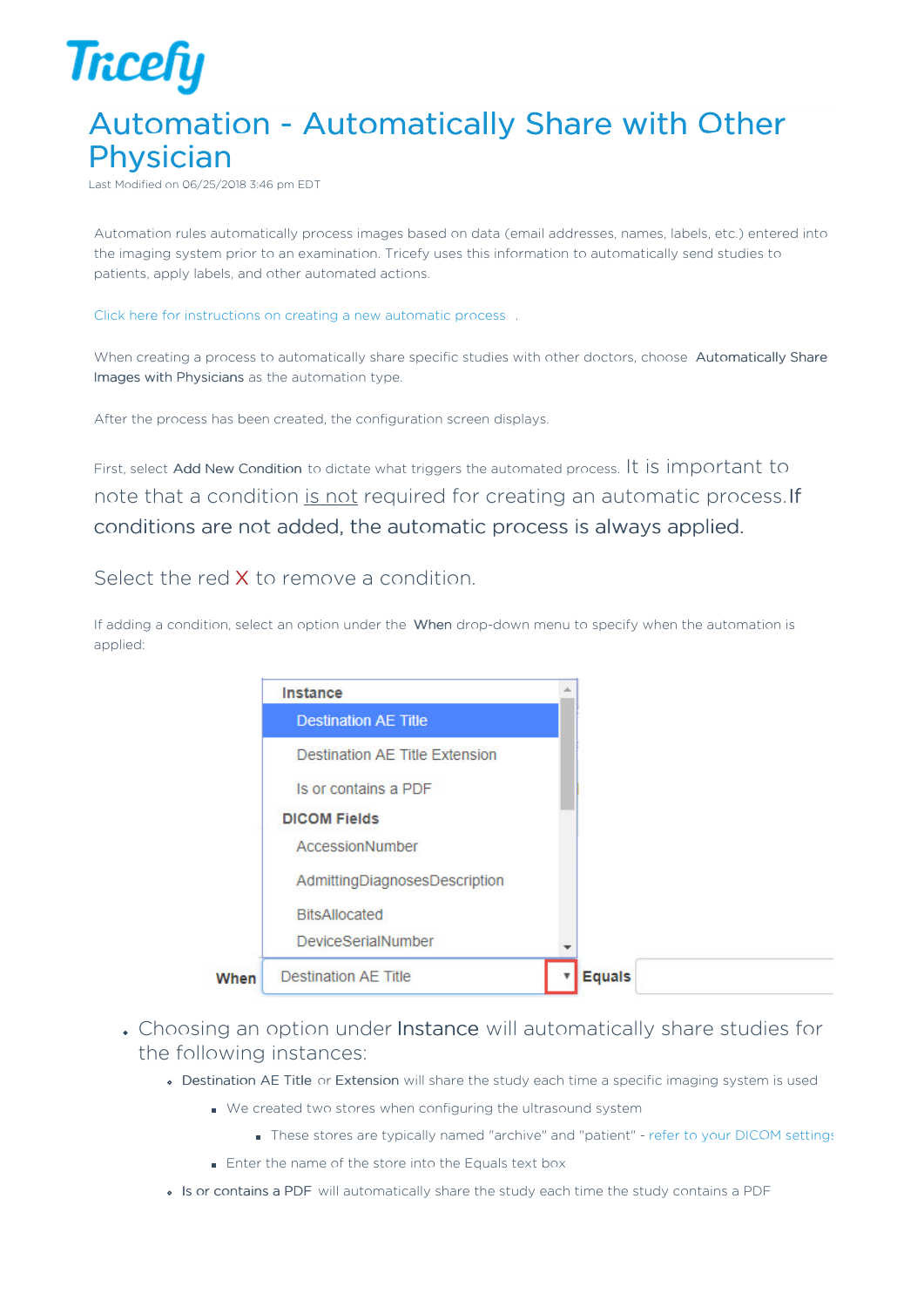

## Automation - Automatically Share with Other Physician

Last Modified on 06/25/2018 3:46 pm EDT

Automation rules automatically process images based on data (email addresses, names, labels, etc.) entered into the imaging system prior to an examination. Tricefy uses this information to automatically send studies to patients, apply labels, and other automated actions.

Click here for instructions on creating a new automatic process .

When creating a process to automatically share specific studies with other doctors, choose Automatically Share Images with Physicians as the automation type.

After the process has been created, the configuration screen displays.

First, select Add New Condition to dictate what triggers the automated process. It is important to note that a condition is not required for creating an automatic process. If conditions are not added, the automatic process is always applied.

Select the red X to remove a condition.

If adding a condition, select an option under the When drop-down menu to specify when the automation is applied:

|      | Instance                       |  |
|------|--------------------------------|--|
|      | <b>Destination AE Title</b>    |  |
|      | Destination AE Title Extension |  |
|      | Is or contains a PDF           |  |
|      | <b>DICOM Fields</b>            |  |
|      | AccessionNumber                |  |
|      | AdmittingDiagnosesDescription  |  |
|      | <b>BitsAllocated</b>           |  |
|      | DeviceSerialNumber             |  |
| When | <b>Destination AE Title</b>    |  |

- Choosing an option under Instance will automatically share studies for the following instances:
	- Destination AE Title or Extension will share the study each time a specific imaging system is used
		- We created two stores when configuring the ultrasound system
			- These stores are typically named "archive" and "patient" refer to your DICOM settings
		- **Enter the name of the store into the Equals text box**
	- Is or contains a PDF will automatically share the study each time the study contains a PDF